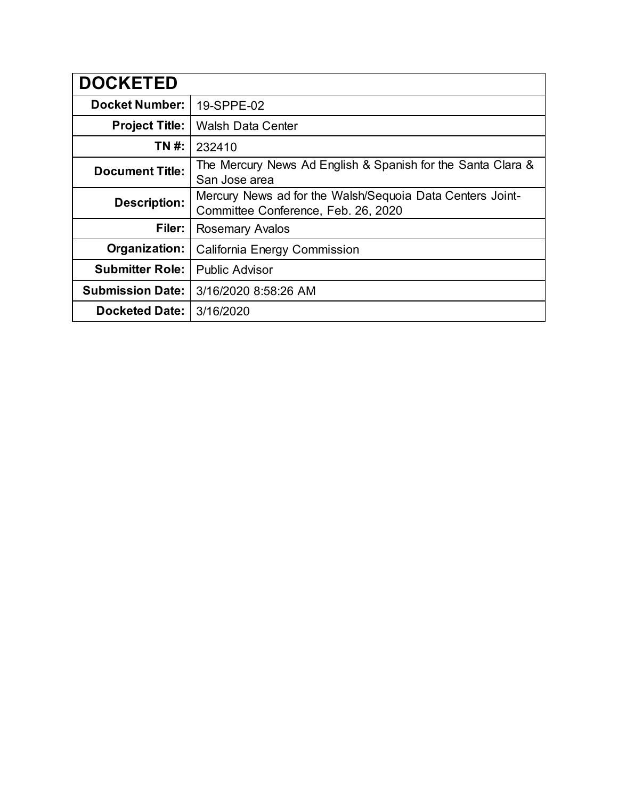| <b>DOCKETED</b>         |                                                                                                  |
|-------------------------|--------------------------------------------------------------------------------------------------|
| <b>Docket Number:</b>   | 19-SPPE-02                                                                                       |
| <b>Project Title:</b>   | <b>Walsh Data Center</b>                                                                         |
| TN #:                   | 232410                                                                                           |
| <b>Document Title:</b>  | The Mercury News Ad English & Spanish for the Santa Clara &<br>San Jose area                     |
| <b>Description:</b>     | Mercury News ad for the Walsh/Sequoia Data Centers Joint-<br>Committee Conference, Feb. 26, 2020 |
| Filer:                  | <b>Rosemary Avalos</b>                                                                           |
| Organization:           | California Energy Commission                                                                     |
| <b>Submitter Role:</b>  | <b>Public Advisor</b>                                                                            |
| <b>Submission Date:</b> | 3/16/2020 8:58:26 AM                                                                             |
| <b>Docketed Date:</b>   | 3/16/2020                                                                                        |